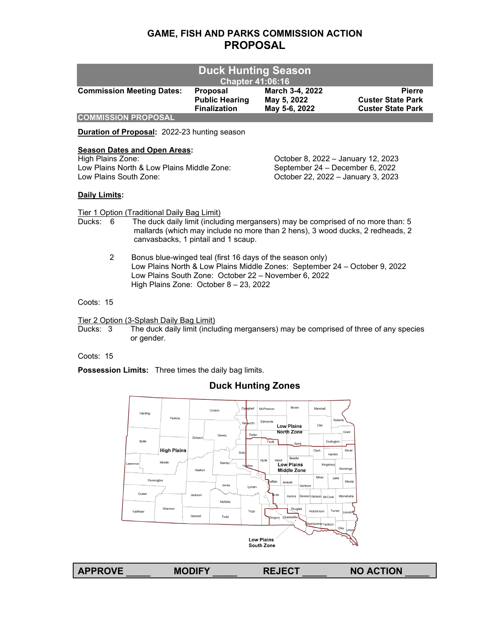# **GAME, FISH AND PARKS COMMISSION ACTION PROPOSAL**

| <b>Duck Hunting Season</b><br><b>Chapter 41:06:16</b> |                                                                 |                                                 |                                                                       |  |  |  |
|-------------------------------------------------------|-----------------------------------------------------------------|-------------------------------------------------|-----------------------------------------------------------------------|--|--|--|
| <b>Commission Meeting Dates:</b>                      | <b>Proposal</b><br><b>Public Hearing</b><br><b>Finalization</b> | March 3-4, 2022<br>May 5, 2022<br>May 5-6, 2022 | <b>Pierre</b><br><b>Custer State Park</b><br><b>Custer State Park</b> |  |  |  |
| <b>COMMISSION PROPOSAL</b>                            |                                                                 |                                                 |                                                                       |  |  |  |

**Duration of Proposal:** 2022-23 hunting season

# **Season Dates and Open Areas:**<br>High Plains Zone:

Low Plains North & Low Plains Middle Zone:<br>Low Plains South Zone:

October 8, 2022 – January 12, 2023<br>September 24 – December 6, 2022 Low Plains South Zone: October 22, 2022 – January 3, 2023

# **Daily Limits:**

Tier 1 Option (Traditional Daily Bag Limit)

- Ducks: 6 The duck daily limit (including mergansers) may be comprised of no more than: 5 mallards (which may include no more than 2 hens), 3 wood ducks, 2 redheads, 2 canvasbacks, 1 pintail and 1 scaup.
	- 2 Bonus blue-winged teal (first 16 days of the season only) Low Plains North & Low Plains Middle Zones: September 24 – October 9, 2022 Low Plains South Zone: October 22 – November 6, 2022 High Plains Zone: October 8 – 23, 2022

Coots: 15

Tier 2 Option (3-Splash Daily Bag Limit)

Ducks: 3 The duck daily limit (including mergansers) may be comprised of three of any species or gender.

Coots: 15

**Possession Limits:** Three times the daily bag limits.

# **Duck Hunting Zones**

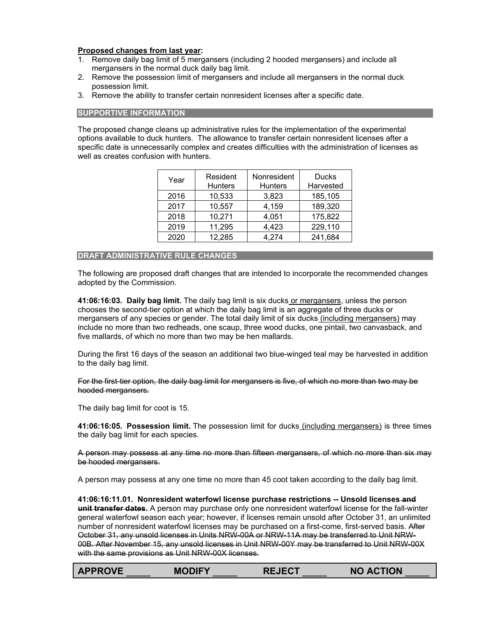# **Proposed changes from last year:**

- 1. Remove daily bag limit of 5 mergansers (including 2 hooded mergansers) and include all mergansers in the normal duck daily bag limit.
- 2. Remove the possession limit of mergansers and include all mergansers in the normal duck possession limit.
- 3. Remove the ability to transfer certain nonresident licenses after a specific date.

#### **SUPPORTIVE INFORMATION**

The proposed change cleans up administrative rules for the implementation of the experimental options available to duck hunters. The allowance to transfer certain nonresident licenses after a specific date is unnecessarily complex and creates difficulties with the administration of licenses as well as creates confusion with hunters.

| Year | Resident<br><b>Hunters</b> | Nonresident<br><b>Hunters</b> | <b>Ducks</b><br>Harvested |
|------|----------------------------|-------------------------------|---------------------------|
| 2016 | 10,533                     | 3,823                         | 185,105                   |
| 2017 | 10,557                     | 4,159                         | 189,320                   |
| 2018 | 10,271                     | 4,051                         | 175,822                   |
| 2019 | 11,295                     | 4,423                         | 229,110                   |
| 2020 | 12,285                     | 4,274                         | 241,684                   |

#### **DRAFT ADMINISTRATIVE RULE CHANGES**

The following are proposed draft changes that are intended to incorporate the recommended changes adopted by the Commission.

**41:06:16:03. Daily bag limit.** The daily bag limit is six ducks or mergansers, unless the person chooses the second-tier option at which the daily bag limit is an aggregate of three ducks or mergansers of any species or gender. The total daily limit of six ducks (including mergansers) may include no more than two redheads, one scaup, three wood ducks, one pintail, two canvasback, and five mallards, of which no more than two may be hen mallards.

During the first 16 days of the season an additional two blue-winged teal may be harvested in addition to the daily bag limit.

For the first-tier option, the daily bag limit for mergansers is five, of which no more than two may be hooded mergansers.

The daily bag limit for coot is 15.

**41:06:16:05. Possession limit.** The possession limit for ducks (including mergansers) is three times the daily bag limit for each species.

A person may possess at any time no more than fifteen mergansers, of which no more than six may be hooded mergansers.

A person may possess at any one time no more than 45 coot taken according to the daily bag limit.

**41:06:16:11.01. Nonresident waterfowl license purchase restrictions -- Unsold licenses and unit transfer dates.** A person may purchase only one nonresident waterfowl license for the fall-winter general waterfowl season each year; however, if licenses remain unsold after October 31, an unlimited number of nonresident waterfowl licenses may be purchased on a first-come, first-served basis. After October 31, any unsold licenses in Units NRW-00A or NRW-11A may be transferred to Unit NRW-00B. After November 15, any unsold licenses in Unit NRW-00Y may be transferred to Unit NRW-00X with the same provisions as Unit NRW-00X licenses.

| <b>APPROVE</b> | <b>MODIFY</b> | <b>REJECT</b> | <b>NO ACTION</b> |
|----------------|---------------|---------------|------------------|
|                |               |               |                  |